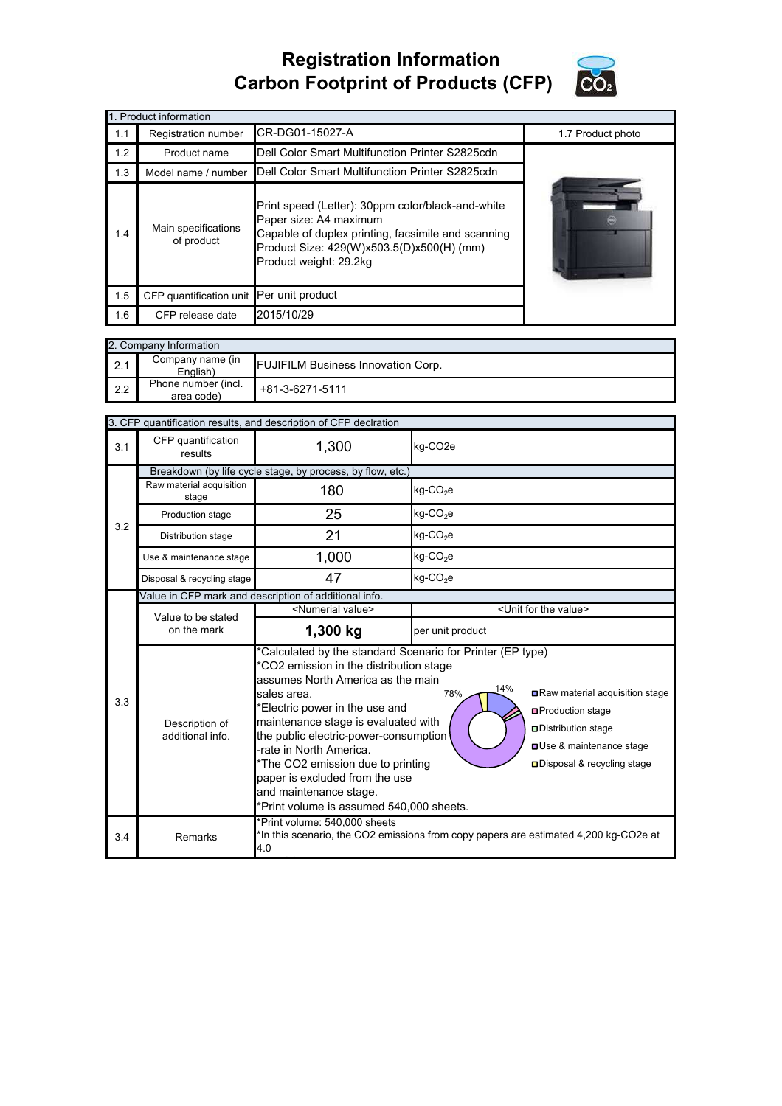## **Registration Information Carbon Footprint of Products (CFP)**



|     | 1. Product information                   |                                                                                                                                                                                                          |  |
|-----|------------------------------------------|----------------------------------------------------------------------------------------------------------------------------------------------------------------------------------------------------------|--|
| 1.1 | Registration number                      | 1.7 Product photo                                                                                                                                                                                        |  |
| 1.2 | Product name                             |                                                                                                                                                                                                          |  |
| 1.3 | Model name / number                      |                                                                                                                                                                                                          |  |
| 1.4 | Main specifications<br>of product        | Print speed (Letter): 30ppm color/black-and-white<br>Paper size: A4 maximum<br>Capable of duplex printing, facsimile and scanning<br>Product Size: 429(W)x503.5(D)x500(H) (mm)<br>Product weight: 29.2kg |  |
| 1.5 | CFP quantification unit Per unit product |                                                                                                                                                                                                          |  |
| 1.6 | 2015/10/29<br>CFP release date           |                                                                                                                                                                                                          |  |

|     | 2. Company Information            |                                           |  |  |  |  |
|-----|-----------------------------------|-------------------------------------------|--|--|--|--|
| 2.1 | Company name (in<br>English)      | <b>FUJIFILM Business Innovation Corp.</b> |  |  |  |  |
| 2.2 | Phone number (incl.<br>area code) | +81-3-6271-5111                           |  |  |  |  |

|     | 3. CFP quantification results, and description of CFP declration |                                                                                                                                                                                                                                                                                                                                                                                                                                                                                                                                                                                                                                 |                                      |  |  |  |
|-----|------------------------------------------------------------------|---------------------------------------------------------------------------------------------------------------------------------------------------------------------------------------------------------------------------------------------------------------------------------------------------------------------------------------------------------------------------------------------------------------------------------------------------------------------------------------------------------------------------------------------------------------------------------------------------------------------------------|--------------------------------------|--|--|--|
| 3.1 | CFP quantification<br>results                                    | 1,300                                                                                                                                                                                                                                                                                                                                                                                                                                                                                                                                                                                                                           | kg-CO <sub>2</sub> e                 |  |  |  |
|     | Breakdown (by life cycle stage, by process, by flow, etc.)       |                                                                                                                                                                                                                                                                                                                                                                                                                                                                                                                                                                                                                                 |                                      |  |  |  |
|     | Raw material acquisition<br>stage                                | 180                                                                                                                                                                                                                                                                                                                                                                                                                                                                                                                                                                                                                             | kg-CO <sub>2</sub> e                 |  |  |  |
|     | Production stage                                                 | 25                                                                                                                                                                                                                                                                                                                                                                                                                                                                                                                                                                                                                              | kg-CO <sub>2</sub> e                 |  |  |  |
| 3.2 | Distribution stage                                               | 21                                                                                                                                                                                                                                                                                                                                                                                                                                                                                                                                                                                                                              | $kg$ -CO <sub>2</sub> e              |  |  |  |
|     | Use & maintenance stage                                          | 1,000                                                                                                                                                                                                                                                                                                                                                                                                                                                                                                                                                                                                                           | $kg$ -CO <sub>2</sub> e              |  |  |  |
|     | Disposal & recycling stage                                       | 47                                                                                                                                                                                                                                                                                                                                                                                                                                                                                                                                                                                                                              | kg-CO <sub>2</sub> e                 |  |  |  |
|     | Value in CFP mark and description of additional info.            |                                                                                                                                                                                                                                                                                                                                                                                                                                                                                                                                                                                                                                 |                                      |  |  |  |
|     | Value to be stated<br>on the mark                                | <numerial value=""></numerial>                                                                                                                                                                                                                                                                                                                                                                                                                                                                                                                                                                                                  | <unit for="" the="" value=""></unit> |  |  |  |
|     |                                                                  | 1,300 kg                                                                                                                                                                                                                                                                                                                                                                                                                                                                                                                                                                                                                        | per unit product                     |  |  |  |
| 3.3 | Description of<br>additional info.                               | *Calculated by the standard Scenario for Printer (EP type)<br>*CO2 emission in the distribution stage<br>assumes North America as the main<br>14%<br>Raw material acquisition stage<br>78%<br>sales area.<br>*Electric power in the use and<br><b>□</b> Production stage<br>maintenance stage is evaluated with<br>□ Distribution stage<br>the public electric-power-consumption<br><b>OUse &amp; maintenance stage</b><br>-rate in North America.<br>*The CO2 emission due to printing<br>□ Disposal & recycling stage<br>paper is excluded from the use<br>and maintenance stage.<br>*Print volume is assumed 540,000 sheets. |                                      |  |  |  |
| 3.4 | Remarks                                                          | *Print volume: 540,000 sheets<br>*In this scenario, the CO2 emissions from copy papers are estimated 4,200 kg-CO2e at<br>4.0                                                                                                                                                                                                                                                                                                                                                                                                                                                                                                    |                                      |  |  |  |